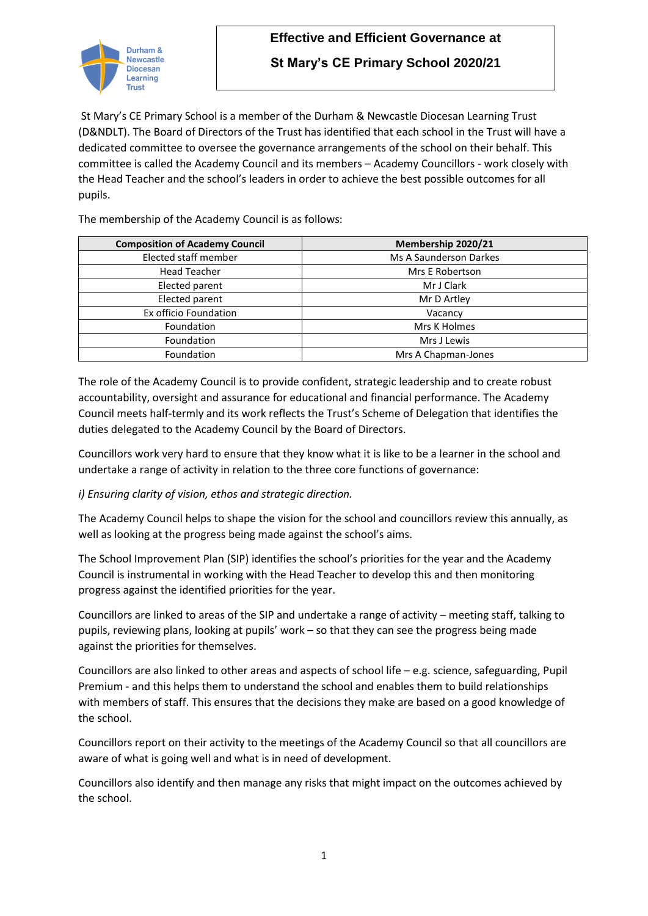

# **Effective and Efficient Governance at**

**St Mary's CE Primary School 2020/21**

St Mary's CE Primary School is a member of the Durham & Newcastle Diocesan Learning Trust (D&NDLT). The Board of Directors of the Trust has identified that each school in the Trust will have a dedicated committee to oversee the governance arrangements of the school on their behalf. This committee is called the Academy Council and its members – Academy Councillors - work closely with the Head Teacher and the school's leaders in order to achieve the best possible outcomes for all pupils.

The membership of the Academy Council is as follows:

| <b>Composition of Academy Council</b> | Membership 2020/21     |
|---------------------------------------|------------------------|
| Elected staff member                  | Ms A Saunderson Darkes |
| <b>Head Teacher</b>                   | Mrs E Robertson        |
| Elected parent                        | Mr J Clark             |
| Elected parent                        | Mr D Artley            |
| Ex officio Foundation                 | Vacancy                |
| Foundation                            | Mrs K Holmes           |
| Foundation                            | Mrs J Lewis            |
| Foundation                            | Mrs A Chapman-Jones    |

The role of the Academy Council is to provide confident, strategic leadership and to create robust accountability, oversight and assurance for educational and financial performance. The Academy Council meets half-termly and its work reflects the Trust's Scheme of Delegation that identifies the duties delegated to the Academy Council by the Board of Directors.

Councillors work very hard to ensure that they know what it is like to be a learner in the school and undertake a range of activity in relation to the three core functions of governance:

#### *i) Ensuring clarity of vision, ethos and strategic direction.*

The Academy Council helps to shape the vision for the school and councillors review this annually, as well as looking at the progress being made against the school's aims.

The School Improvement Plan (SIP) identifies the school's priorities for the year and the Academy Council is instrumental in working with the Head Teacher to develop this and then monitoring progress against the identified priorities for the year.

Councillors are linked to areas of the SIP and undertake a range of activity – meeting staff, talking to pupils, reviewing plans, looking at pupils' work – so that they can see the progress being made against the priorities for themselves.

Councillors are also linked to other areas and aspects of school life – e.g. science, safeguarding, Pupil Premium - and this helps them to understand the school and enables them to build relationships with members of staff. This ensures that the decisions they make are based on a good knowledge of the school.

Councillors report on their activity to the meetings of the Academy Council so that all councillors are aware of what is going well and what is in need of development.

Councillors also identify and then manage any risks that might impact on the outcomes achieved by the school.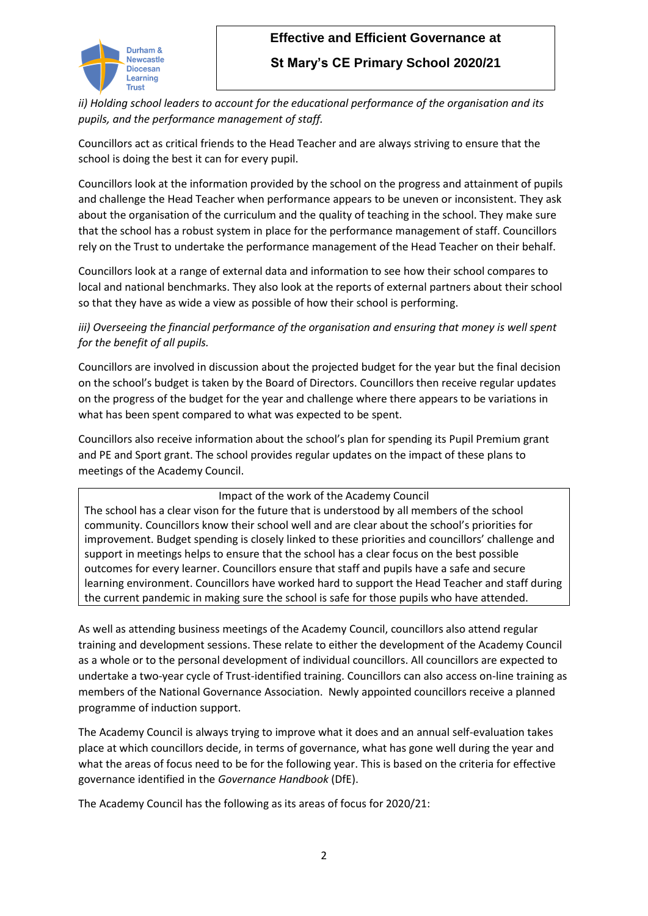

# **Effective and Efficient Governance at**

### **St Mary's CE Primary School 2020/21**

*ii) Holding school leaders to account for the educational performance of the organisation and its pupils, and the performance management of staff.* 

Councillors act as critical friends to the Head Teacher and are always striving to ensure that the school is doing the best it can for every pupil.

Councillors look at the information provided by the school on the progress and attainment of pupils and challenge the Head Teacher when performance appears to be uneven or inconsistent. They ask about the organisation of the curriculum and the quality of teaching in the school. They make sure that the school has a robust system in place for the performance management of staff. Councillors rely on the Trust to undertake the performance management of the Head Teacher on their behalf.

Councillors look at a range of external data and information to see how their school compares to local and national benchmarks. They also look at the reports of external partners about their school so that they have as wide a view as possible of how their school is performing.

*iii)* Overseeing the financial performance of the organisation and ensuring that money is well spent *for the benefit of all pupils.*

Councillors are involved in discussion about the projected budget for the year but the final decision on the school's budget is taken by the Board of Directors. Councillors then receive regular updates on the progress of the budget for the year and challenge where there appears to be variations in what has been spent compared to what was expected to be spent.

Councillors also receive information about the school's plan for spending its Pupil Premium grant and PE and Sport grant. The school provides regular updates on the impact of these plans to meetings of the Academy Council.

Impact of the work of the Academy Council The school has a clear vison for the future that is understood by all members of the school community. Councillors know their school well and are clear about the school's priorities for improvement. Budget spending is closely linked to these priorities and councillors' challenge and support in meetings helps to ensure that the school has a clear focus on the best possible outcomes for every learner. Councillors ensure that staff and pupils have a safe and secure learning environment. Councillors have worked hard to support the Head Teacher and staff during the current pandemic in making sure the school is safe for those pupils who have attended.

As well as attending business meetings of the Academy Council, councillors also attend regular training and development sessions. These relate to either the development of the Academy Council as a whole or to the personal development of individual councillors. All councillors are expected to undertake a two-year cycle of Trust-identified training. Councillors can also access on-line training as members of the National Governance Association. Newly appointed councillors receive a planned programme of induction support.

The Academy Council is always trying to improve what it does and an annual self-evaluation takes place at which councillors decide, in terms of governance, what has gone well during the year and what the areas of focus need to be for the following year. This is based on the criteria for effective governance identified in the *Governance Handbook* (DfE).

The Academy Council has the following as its areas of focus for 2020/21: